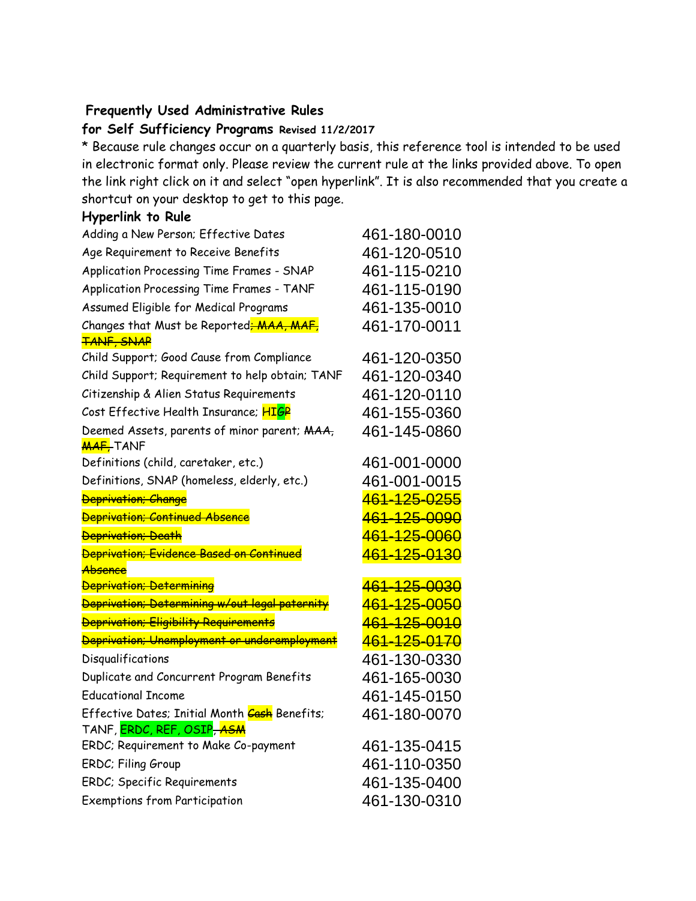## **Frequently Used Administrative Rules**

## **for Self Sufficiency Programs Revised 11/2/2017**

\* Because rule changes occur on a quarterly basis, this reference tool is intended to be used in electronic format only. Please review the current rule at the links provided above. To open the link right click on it and select "open hyperlink". It is also recommended that you create a shortcut on your desktop to get to this page.

## **Hyperlink to Rule**

| Adding a New Person; Effective Dates                                | 461-180-0010                 |
|---------------------------------------------------------------------|------------------------------|
| Age Requirement to Receive Benefits                                 | 461-120-0510                 |
| Application Processing Time Frames - SNAP                           | 461-115-0210                 |
| Application Processing Time Frames - TANF                           | 461-115-0190                 |
| Assumed Eligible for Medical Programs                               | 461-135-0010                 |
| Changes that Must be Reported <del>; MAA, MAF,</del>                | 461-170-0011                 |
| <b>TANF, SNAP</b>                                                   |                              |
| Child Support; Good Cause from Compliance                           | 461-120-0350                 |
| Child Support; Requirement to help obtain; TANF                     | 461-120-0340                 |
| Citizenship & Alien Status Requirements                             | 461-120-0110                 |
| Cost Effective Health Insurance; HIGP                               | 461-155-0360                 |
| Deemed Assets, parents of minor parent; MAA,<br><b>MAF, TANF</b>    | 461-145-0860                 |
| Definitions (child, caretaker, etc.)                                | 461-001-0000                 |
| Definitions, SNAP (homeless, elderly, etc.)                         | 461-001-0015                 |
| <b>Deprivation</b> ; Change                                         | <del>461-125-0255</del>      |
| <b>Deprivation; Continued Absence</b>                               | <del>461-125-0090</del>      |
| <b>Deprivation</b> ; Death                                          | <del>461-125-0060</del>      |
| <b>Deprivation; Evidence Based on Continued</b>                     | 461-125-0130                 |
| <del>Absence</del>                                                  |                              |
| <b>Deprivation</b> ; Determining                                    | 461-125-0030                 |
| Deprivation; Determining w/out legal paternity                      | <del>461-125-0050</del>      |
| <b>Deprivation</b> ; Eligibility Requirements                       | 461-125-0010                 |
| Deprivation; Unemployment or underemployment                        | <del>461-125-0170</del>      |
| Disqualifications                                                   | 461-130-0330                 |
| Duplicate and Concurrent Program Benefits                           | 461-165-0030                 |
| <b>Educational Income</b>                                           | 461-145-0150                 |
| Effective Dates; Initial Month Cash Benefits;                       | 461-180-0070                 |
| TANF, <mark>ERDC, REF, OSIP<del>, ASM</del></mark>                  |                              |
| ERDC; Requirement to Make Co-payment                                | 461-135-0415                 |
| ERDC; Filing Group                                                  | 461-110-0350                 |
|                                                                     |                              |
| ERDC; Specific Requirements<br><b>Exemptions from Participation</b> | 461-135-0400<br>461-130-0310 |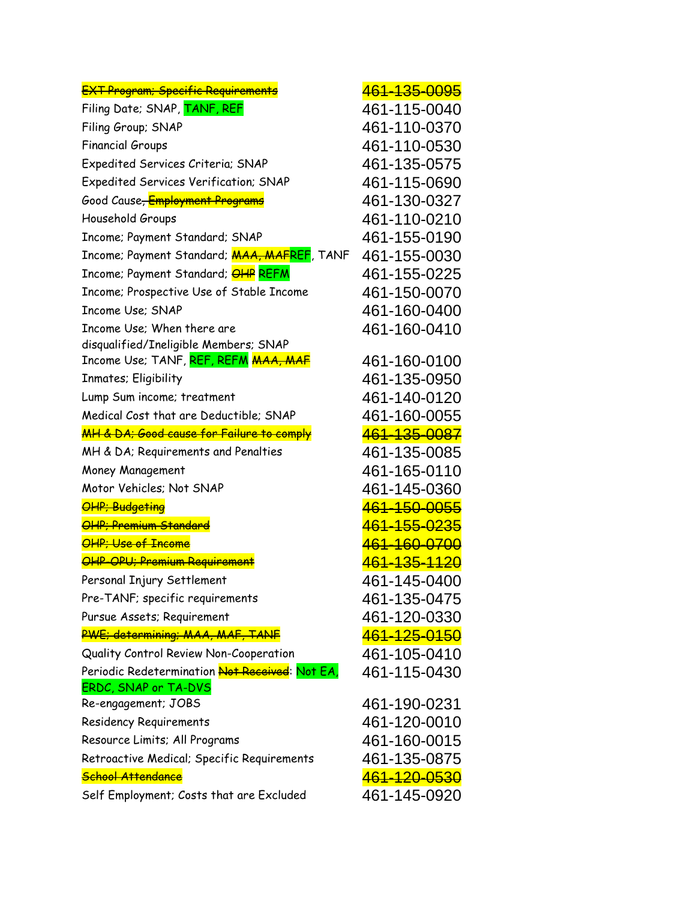| <b>EXT Program; Specific Requirements</b>                    | <del>461-135-0095</del>   |
|--------------------------------------------------------------|---------------------------|
| Filing Date; SNAP, TANF, REF                                 | 461-115-0040              |
| Filing Group; SNAP                                           | 461-110-0370              |
| <b>Financial Groups</b>                                      | 461-110-0530              |
| Expedited Services Criteria; SNAP                            | 461-135-0575              |
| Expedited Services Verification; SNAP                        | 461-115-0690              |
| Good Cause <del>, <mark>Employment Programs</mark></del>     | 461-130-0327              |
| Household Groups                                             | 461-110-0210              |
| Income; Payment Standard; SNAP                               | 461-155-0190              |
| Income; Payment Standard; <b>MAA, MAFREF</b> , TANF          | 461-155-0030              |
| Income; Payment Standard; <b>OHP REFM</b>                    | 461-155-0225              |
| Income; Prospective Use of Stable Income                     | 461-150-0070              |
| Income Use: SNAP                                             | 461-160-0400              |
| Income Use; When there are                                   | 461-160-0410              |
| disqualified/Ineligible Members; SNAP                        |                           |
| Income Use; TANF, <mark>REF, REFM <del>MAA, MAF</del></mark> | 461-160-0100              |
| Inmates; Eligibility                                         | 461-135-0950              |
| Lump Sum income; treatment                                   | 461-140-0120              |
| Medical Cost that are Deductible; SNAP                       | 461-160-0055              |
| <b>MH &amp; DA; Good cause for Failure to comply</b>         | <del>461-135-0087</del>   |
| MH & DA; Requirements and Penalties                          | 461-135-0085              |
| Money Management                                             | 461-165-0110              |
| Motor Vehicles; Not SNAP                                     | 461-145-0360              |
| <b>OHP</b> ; Budgeting                                       | <del>461-150-0055</del>   |
| <b>OHP; Premium Standard</b>                                 | <del>461-155-0235</del>   |
| OHP; Use of Income                                           | <del>461-160-0700</del>   |
| OHP OPU; Premium Requirement                                 | <del>461-135-1120</del>   |
| Personal Injury Settlement                                   | 461-145-0400              |
| Pre-TANF; specific requirements                              | 461-135-0475              |
| Pursue Assets; Requirement                                   | 461-120-0330              |
| PWE; determining; MAA, MAF, TANF                             | <mark>461-125-0150</mark> |
| Quality Control Review Non-Cooperation                       | 461-105-0410              |
| Periodic Redetermination <del>Not Received</del> : Not EA,   | 461-115-0430              |
| ERDC, SNAP or TA-DVS                                         |                           |
| Re-engagement; JOBS                                          | 461-190-0231              |
| <b>Residency Requirements</b>                                | 461-120-0010              |
| Resource Limits; All Programs                                | 461-160-0015              |
| Retroactive Medical; Specific Requirements                   | 461-135-0875              |
| School Attendance                                            | 461-120-0530              |
| Self Employment; Costs that are Excluded                     | 461-145-0920              |